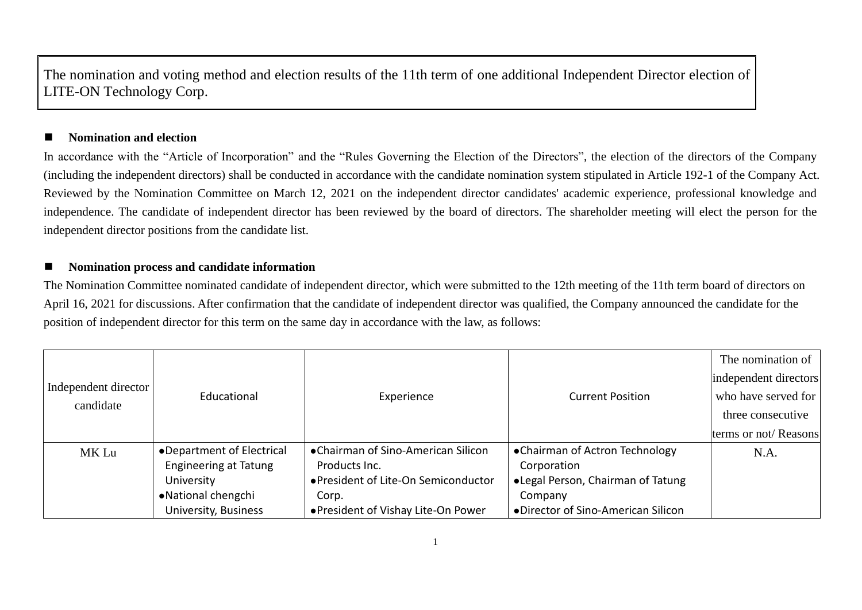The nomination and voting method and election results of the 11th term of one additional Independent Director election of LITE-ON Technology Corp.

## ◼ **Nomination and election**

In accordance with the "Article of Incorporation" and the "Rules Governing the Election of the Directors", the election of the directors of the Company (including the independent directors) shall be conducted in accordance with the candidate nomination system stipulated in Article 192-1 of the Company Act. Reviewed by the Nomination Committee on March 12, 2021 on the independent director candidates' academic experience, professional knowledge and independence. The candidate of independent director has been reviewed by the board of directors. The shareholder meeting will elect the person for the independent director positions from the candidate list.

## ■ Nomination process and candidate information

The Nomination Committee nominated candidate of independent director, which were submitted to the 12th meeting of the 11th term board of directors on April 16, 2021 for discussions. After confirmation that the candidate of independent director was qualified, the Company announced the candidate for the position of independent director for this term on the same day in accordance with the law, as follows:

|                      |                              |                                      |                                    | The nomination of     |
|----------------------|------------------------------|--------------------------------------|------------------------------------|-----------------------|
|                      |                              |                                      |                                    | independent directors |
| Independent director | Educational                  | Experience                           | <b>Current Position</b>            | who have served for   |
| candidate            |                              |                                      |                                    | three consecutive     |
|                      |                              |                                      |                                    | terms or not/Reasons  |
| MK Lu                | •Department of Electrical    | •Chairman of Sino-American Silicon   | •Chairman of Actron Technology     | N.A.                  |
|                      | <b>Engineering at Tatung</b> | Products Inc.                        | Corporation                        |                       |
|                      | University                   | ● President of Lite-On Semiconductor | •Legal Person, Chairman of Tatung  |                       |
|                      | • National chengchi          | Corp.                                | Company                            |                       |
|                      | University, Business         | • President of Vishay Lite-On Power  | •Director of Sino-American Silicon |                       |